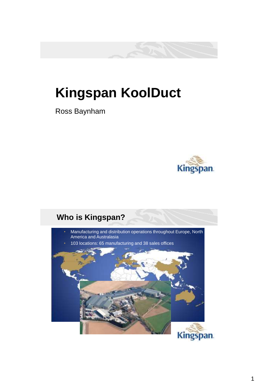## **Kingspan KoolDuct**

Ross Baynham



### **Who is Kingspan?**

- Manufacturing and distribution operations throughout Europe, North America and Australasia
- 103 locations: 65 manufacturing and 38 sales offices

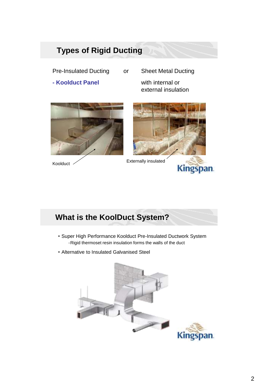#### **Types of Rigid Ducting**

Pre-Insulated Ducting or Sheet Metal Ducting **- Koolduct Panel** with internal or







**Kingspan**.

Koolduct **Externally insulated** 

### **What is the KoolDuct System?**

- Super High Performance Koolduct Pre-Insulated Ductwork System -Rigid thermoset resin insulation forms the walls of the duct
- Alternative to Insulated Galvanised Steel

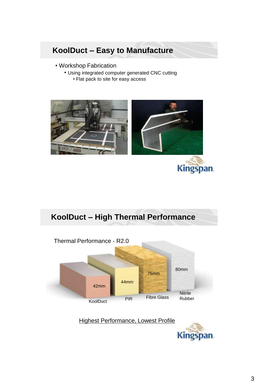### **KoolDuct – Easy to Manufacture**

- Workshop Fabrication
	- Using integrated computer generated CNC cutting • Flat pack to site for easy access



#### **KoolDuct – High Thermal Performance**



Highest Performance, Lowest Profile

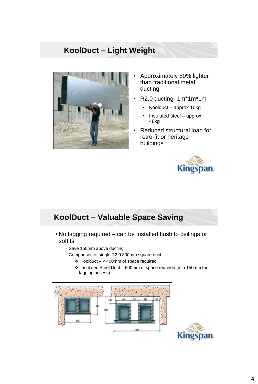### **KoolDuct – Light Weight**



- Approximately 80% lighter than traditional metal ducting
- R2.0 ducting -1m\*1m\*1m
	- Koolduct approx 10kg
	- Insulated steel approx 48kg
- Reduced structural load for retro-fit or heritage buildings



an.

#### **KoolDuct – Valuable Space Saving**

- No lagging required can be installed flush to ceilings or soffits
	- Save 150mm above ducting
	- Comparison of single R2.0 300mm square duct
		- $\div$  Koolduct < 400mm of space required
			- $\div$  Insulated Steel Duct 600mm of space required (min 150mm for lagging access)

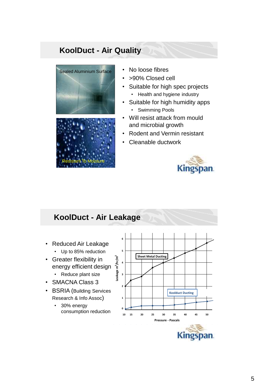#### **KoolDuct - Air Quality**





- No loose fibres
- >90% Closed cell
- Suitable for high spec projects • Health and hygiene industry
- Suitable for high humidity apps
	- Swimming Pools
- Will resist attack from mould and microbial growth
- Rodent and Vermin resistant
- Cleanable ductwork



Kingspan.

#### **KoolDuct - Air Leakage** • Reduced Air Leakage • Up to 85% reduction • Greater flexibility in energy efficient design • Reduce plant size • SMACNA Class 3 • BSRIA (Building Services Research & Info Assoc) • 30% energy consumption reduction **10 40 45 50 Leakage m 3/hr/m 2 Pressure - Pascals 0 15 20 25 30 35 6 5 4 3 2 1 Koolduct Ducting Sheet Metal Ducting**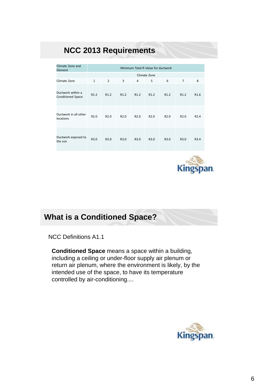#### **NCC 2013 Requirements**

| Climate Zone and<br>Element                   | Minimum Total R-Value for ductwork |                  |                  |                  |                  |                  |                  |                  |
|-----------------------------------------------|------------------------------------|------------------|------------------|------------------|------------------|------------------|------------------|------------------|
|                                               | Climate Zone                       |                  |                  |                  |                  |                  |                  |                  |
| Climate Zone                                  | $\mathbf{1}$                       | $\overline{2}$   | 3                | 4                | 5                | 6                | $\overline{7}$   | 8                |
| Ductwork within a<br><b>Conditioned Space</b> | R <sub>1.2</sub>                   | R <sub>1.2</sub> | R <sub>1.2</sub> | R <sub>1.2</sub> | R <sub>1.2</sub> | R <sub>1.2</sub> | R <sub>1.2</sub> | R <sub>1.6</sub> |
| Ductwork in all other<br>locations            | R <sub>2.0</sub>                   | R <sub>2.0</sub> | R <sub>2.0</sub> | R <sub>2.0</sub> | R <sub>2.0</sub> | R <sub>2.0</sub> | R <sub>2.0</sub> | R <sub>2.4</sub> |
| Ductwork exposed to<br>the sun                | R3.0                               | R3.0             | R3.0             | R3.0             | R3.0             | R3.0             | R3.0             | R3.4             |



#### **What is a Conditioned Space?**

NCC Definitions A1.1

**Conditioned Space** means a space within a building, including a ceiling or under-floor supply air plenum or return air plenum, where the environment is likely, by the intended use of the space, to have its temperature controlled by air-conditioning....